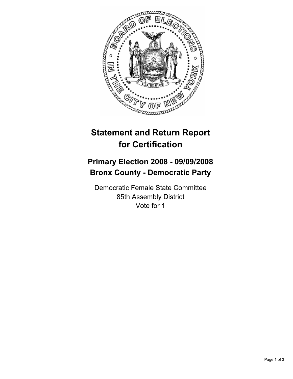

## **Statement and Return Report for Certification**

## **Primary Election 2008 - 09/09/2008 Bronx County - Democratic Party**

Democratic Female State Committee 85th Assembly District Vote for 1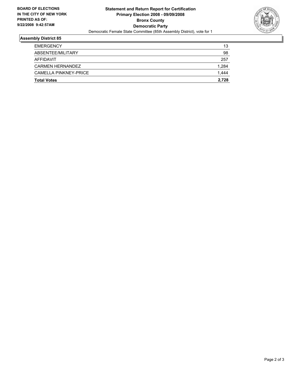

## **Assembly District 85**

| <b>Total Votes</b>           | 2,728 |
|------------------------------|-------|
| <b>CAMELLA PINKNEY-PRICE</b> | 1,444 |
| CARMEN HERNANDEZ             | 1,284 |
| AFFIDAVIT                    | 257   |
| ABSENTEE/MILITARY            | 98    |
| <b>EMERGENCY</b>             | 13    |